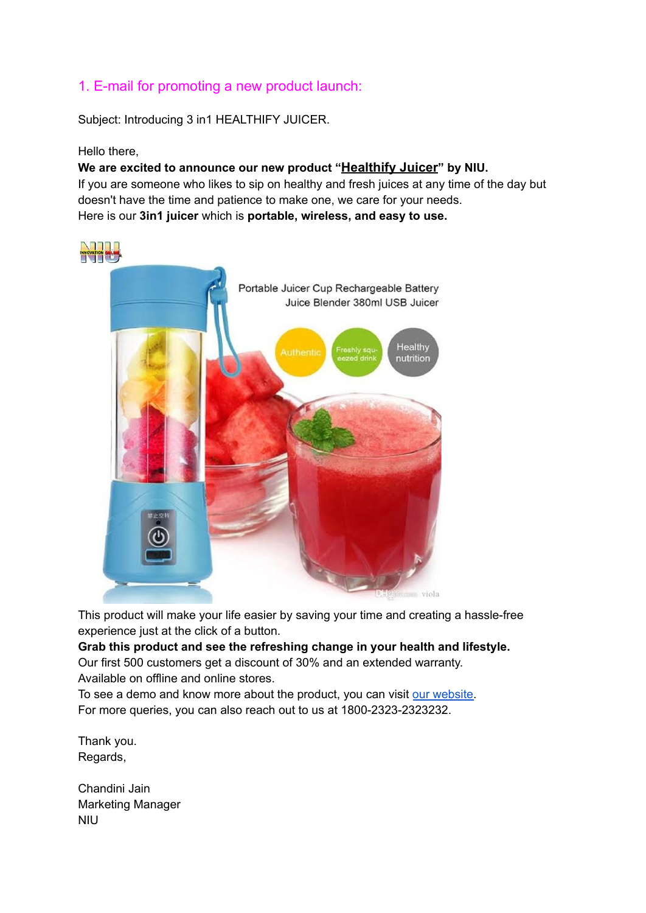### 1. E-mail for promoting a new product launch:

Subject: Introducing 3 in1 HEALTHIFY JUICER.

Hello there,

**We are excited to announce our new product "Healthify Juicer" by NIU.** If you are someone who likes to sip on healthy and fresh juices at any time of the day but doesn't have the time and patience to make one, we care for your needs. Here is our **3in1 juicer** which is **portable, wireless, and easy to use.**



This product will make your life easier by saving your time and creating a hassle-free experience just at the click of a button.

**Grab this product and see the refreshing change in your health and lifestyle.** Our first 500 customers get a discount of 30% and an extended warranty. Available on offline and online stores.

To see a demo and know more about the product, you can visit our [website.](http://ghbgbetwwdd) For more queries, you can also reach out to us at 1800-2323-2323232.

Thank you. Regards,

Chandini Jain Marketing Manager NIU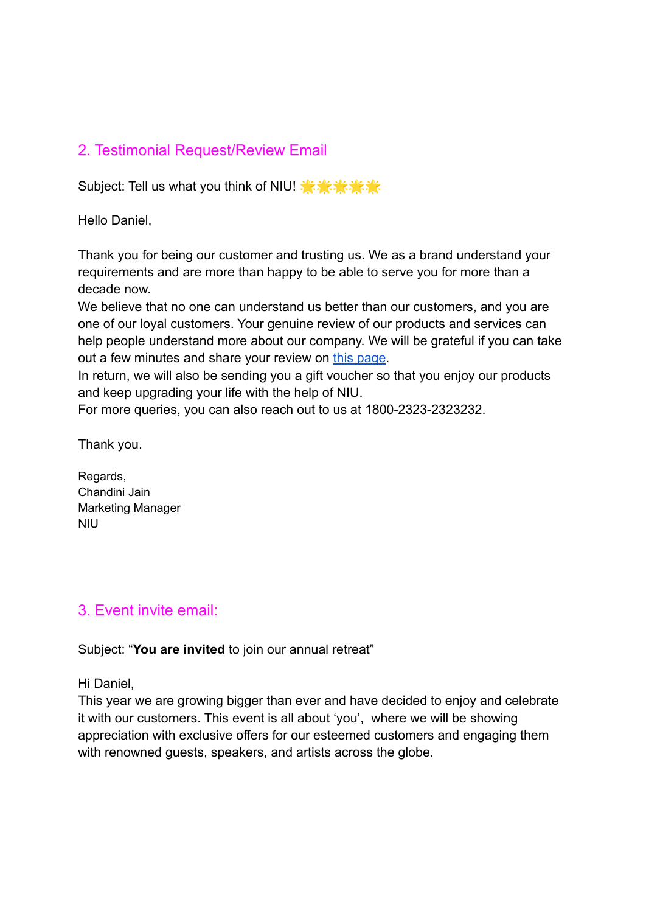# 2. Testimonial Request/Review Email

Subject: Tell us what you think of NIU!

Hello Daniel,

Thank you for being our customer and trusting us. We as a brand understand your requirements and are more than happy to be able to serve you for more than a decade now.

We believe that no one can understand us better than our customers, and you are one of our loyal customers. Your genuine review of our products and services can help people understand more about our company. We will be grateful if you can take out a few minutes and share your review on [this page](http://ssgrgeeg).

In return, we will also be sending you a gift voucher so that you enjoy our products and keep upgrading your life with the help of NIU.

For more queries, you can also reach out to us at 1800-2323-2323232.

Thank you.

Regards, Chandini Jain Marketing Manager NIU

## 3. Event invite email:

Subject: "**You are invited** to join our annual retreat"

Hi Daniel,

This year we are growing bigger than ever and have decided to enjoy and celebrate it with our customers. This event is all about 'you', where we will be showing appreciation with exclusive offers for our esteemed customers and engaging them with renowned guests, speakers, and artists across the globe.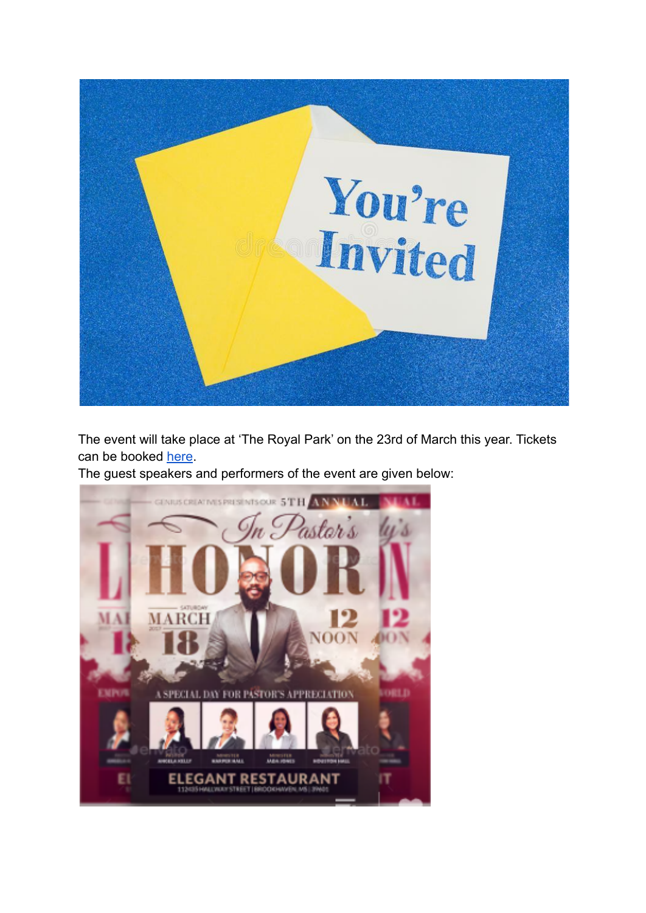

The event will take place at 'The Royal Park' on the 23rd of March this year. Tickets can be booked [here](http://rggrwwgw).

The guest speakers and performers of the event are given below:

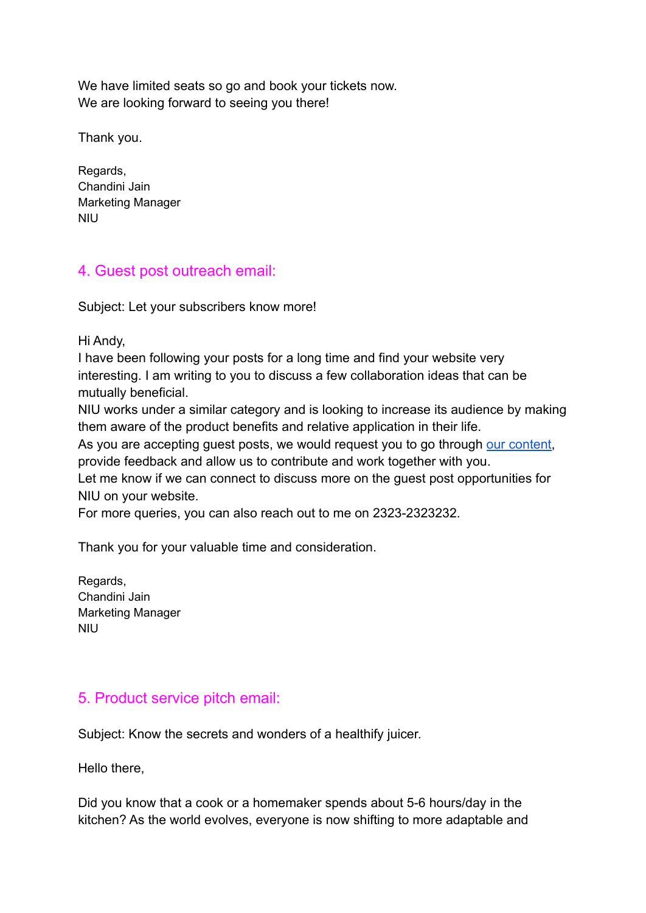We have limited seats so go and book your tickets now. We are looking forward to seeing you there!

Thank you.

Regards, Chandini Jain Marketing Manager NIU

## 4. Guest post outreach email:

Subject: Let your subscribers know more!

Hi Andy,

I have been following your posts for a long time and find your website very interesting. I am writing to you to discuss a few collaboration ideas that can be mutually beneficial.

NIU works under a similar category and is looking to increase its audience by making them aware of the product benefits and relative application in their life.

As you are accepting guest posts, we would request you to go through [our content,](http://jnxcc) provide feedback and allow us to contribute and work together with you.

Let me know if we can connect to discuss more on the guest post opportunities for NIU on your website.

For more queries, you can also reach out to me on 2323-2323232.

Thank you for your valuable time and consideration.

Regards, Chandini Jain Marketing Manager NIU

## 5. Product service pitch email:

Subject: Know the secrets and wonders of a healthify juicer.

Hello there,

Did you know that a cook or a homemaker spends about 5-6 hours/day in the kitchen? As the world evolves, everyone is now shifting to more adaptable and